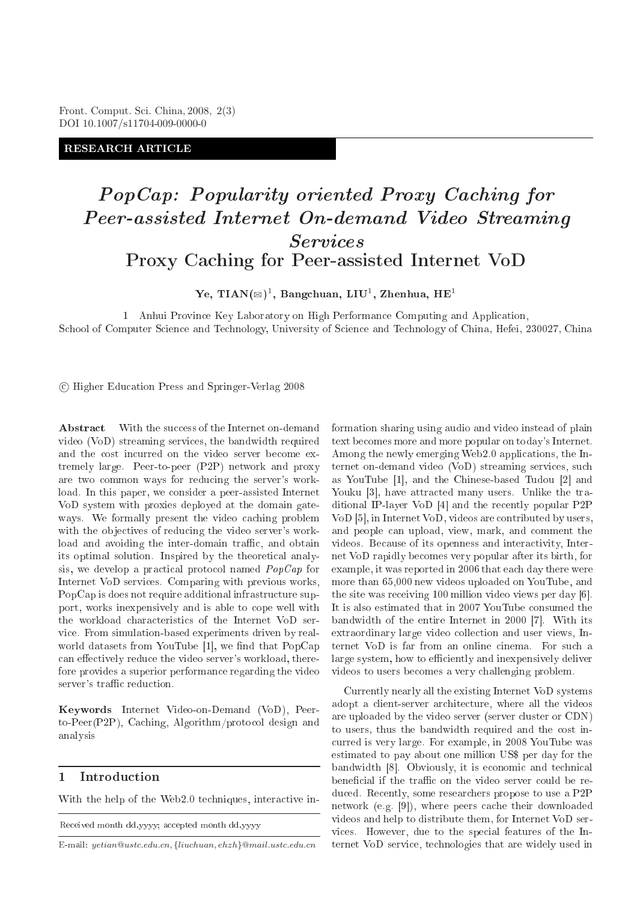Front. Comput. Sci. China, 2008, 2(3) DOI 10.1007/s11704-009-0000-0

RESEARCH ARTICLE

# PopCap: Popularity oriented Proxy Ca
hing for Peer-assisted Internet On-demand Video Streaming *Services*

Ye, TIAN $(\boxtimes)^1$ , Bangchuan, LIU<sup>1</sup>, Zhenhua, HE<sup>1</sup>

Proxy Ca
hing for Peer-assisted Internet VoD

1 Anhui Provin
e Key Laboratory on High Performan
e Computing and Appli
ation, School of Computer Science and Technology, University of Science and Technology of China, Hefei, 230027, China

Higher Edu
ation Press and Springer-Verlag 2008

With the success of the Internet on-demand Abstract video (VoD) streaming servi
es, the bandwidth required and the cost incurred on the video server become extremely large. Peer-to-peer (P2P) network and proxy are two ommon ways for redu
ing the server's workload. In this paper, we consider a peer-assisted Internet VoD system with proxies deployed at the domain gateways. We formally present the video caching problem with the objectives of reducing the video server's workload and avoiding the inter-domain traffic, and obtain its optimal solution. Inspired by the theoreti
al analysis, we develop a practical protocol named  $PopCap$  for Internet VoD servi
es. Comparing with previous works, PopCap is does not require additional infrastructure support, works inexpensively and is able to cope well with the workload characteristics of the Internet VoD servi
e. From simulation-based experiments driven by realworld datasets from YouTube  $[1]$ , we find that PopCap can effectively reduce the video server's workload, therefore provides a superior performan
e regarding the video server's traffic reduction.

Keywords Internet Video-on-Demand (VoD), Peerto-Peer(P2P), Caching, Algorithm/protocol design and analysis

# 1 Introdu
tion

With the help of the Web2.0 techniques, interactive in-

epted month distribution and distribution and distribution of the contract of the contract of the contract of the contract of the contract of the contract of the contract of the contract of the contract of the contract of

E-mail: yetian@ustc.edu.cn, {liuchuan, ehzh}@mail.ustc.edu.cn

formation sharing using audio and video instead of plain text be
omes more and more popular on today's Internet. Among the newly emerging Web2.0 appli
ations, the Internet on-demand video (VoD) streaming servi
es, su
h as YouTube [1], and the Chinese-based Tudou [2] and Youku [3], have attracted many users. Unlike the traditional IP-layer VoD  $[4]$  and the recently popular P2P VoD [5], in Internet VoD, videos are contributed by users, and people can upload, view, mark, and comment the videos. Because of its openness and interactivity, Internet VoD rapidly be
omes very popular after its birth, for example, it was reported in 2006 that ea
h day there were more than 65,000 new videos uploaded on YouTube, and the site was receiving 100 million video views per day  $[6]$ . It is also estimated that in 2007 YouTube onsumed the bandwidth of the entire Internet in  $2000$  [7]. With its extraordinary large video collection and user views, Internet VoD is far from an online cinema. For such a large system, how to efficiently and inexpensively deliver videos to users be
omes a very hallenging problem.

Currently nearly all the existing Internet VoD systems adopt a lient-server ar
hite
ture, where all the videos are uploaded by the video server (server luster or CDN) to users, thus the bandwidth required and the ost in urred is very large. For example, in 2008 YouTube was estimated to pay about one million US\$ per day for the bandwidth [8]. Obviously, it is economic and technical beneficial if the traffic on the video server could be reduced. Recently, some researchers propose to use a P2P network (e.g. [9]), where peers cache their downloaded videos and help to distribute them, for Internet VoD servi
es. However, due to the spe
ial features of the Internet VoD servi
e, te
hnologies that are widely used in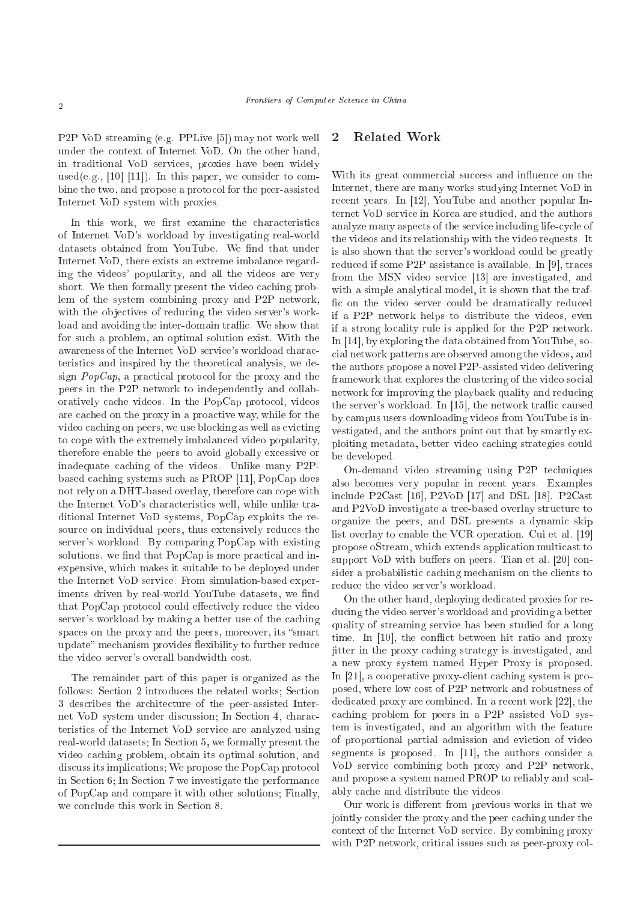P2P VoD streaming (e.g. PPLive [5]) may not work well under the ontext of Internet VoD. On the other hand, in traditional VoD servi
es, proxies have been widely used(e.g., [10] [11]). In this paper, we consider to combine the two, and propose a proto
ol for the peer-assisted Internet VoD system with proxies.

In this work, we first examine the characteristics of Internet VoD's workload by investigating real-world datasets obtained from YouTube. We find that under Internet VoD, there exists an extreme imbalance regarding the videos' popularity, and all the videos are very short. We then formally present the video caching problem of the system ombining proxy and P2P network, with the objectives of reducing the video server's workload and avoiding the inter-domain traffic. We show that for su
h a problem, an optimal solution exist. With the awareness of the Internet VoD servi
e's workload hara
 teristi
s and inspired by the theoreti
al analysis, we design  $PopCap$ , a practical protocol for the proxy and the peers in the P2P network to independently and ollaboratively cache videos. In the PopCap protocol, videos are a
hed on the proxy in a proa
tive way, while for the video caching on peers, we use blocking as well as evicting to cope with the extremely imbalanced video popularity, therefore enable the peers to avoid globally ex
essive or inadequate caching of the videos. Unlike many P2Pbased caching systems such as PROP  $[11]$ , PopCap does not rely on a DHT-based overlay, therefore can cope with the Internet VoD's hara
teristi
s well, while unlike traditional Internet VoD systems, PopCap exploits the resour
e on individual peers, thus extensively redu
es the server's workload. By omparing PopCap with existing solutions. we find that PopCap is more practical and inexpensive, whi
h makes it suitable to be deployed under the Internet VoD servi
e. From simulation-based experiments driven by real-world YouTube datasets, we find that PopCap protocol could effectively reduce the video server's workload by making a better use of the caching spaces on the proxy and the peers, moreover, its "smart" update" mechanism provides flexibility to further reduce the video server's overall bandwidth ost.

The remainder part of this paper is organized as the follows: Section 2 introduces the related works; Section 3 des
ribes the ar
hite
ture of the peer-assisted Internet VoD system under discussion; In Section 4, characteristi
s of the Internet VoD servi
e are analyzed using real-world datasets; In Section 5, we formally present the video caching problem, obtain its optimal solution, and discuss its implications; We propose the PopCap protocol in Se
tion 6; In Se
tion 7 we investigate the performan
e of PopCap and ompare it with other solutions; Finally, we conclude this work in Section 8.

# 2 Related Work

With its great commercial success and influence on the Internet, there are many works studying Internet VoD in recent years. In [12], YouTube and another popular Internet VoD servi
e in Korea are studied, and the authors analyze many aspects of the service including life-cycle of the videos and its relationship with the video requests. It is also shown that the server's workload ould be greatly reduced if some P2P assistance is available. In [9], traces from the MSN video service [13] are investigated, and with a simple analytical model, it is shown that the traffic on the video server could be dramatically reduced if a P2P network helps to distribute the videos, even if a strong lo
ality rule is applied for the P2P network. In  $[14]$ , by exploring the data obtained from YouTube, soial network patterns are observed among the videos, and the authors propose a novel P2P-assisted video delivering framework that explores the lustering of the video so
ial network for improving the playback quality and reducing the server's workload. In [15], the network traffic caused by ampus users downloading videos from YouTube is investigated, and the authors point out that by smartly exploiting metadata, better video a
hing strategies ould be developed.

On-demand video streaming using P2P te
hniques also be
omes very popular in re
ent years. Examples include P2Cast  $[16]$ , P2VoD  $[17]$  and DSL  $[18]$ . P2Cast and P2VoD investigate a tree-based overlay structure to organize the peers, and DSL presents a dynamic skip list overlay to enable the VCR operation. Cui et al. [19] propose oStream, whi
h extends appli
ation multi
ast to support VoD with buffers on peers. Tian et al.  $[20]$  consider a probabilistic caching mechanism on the clients to redu
e the video server's workload.

On the other hand, deploying dedi
ated proxies for redu
ing the video server's workload and providing a better quality of streaming servi
e has been studied for a long time. In [10], the conflict between hit ratio and proxy jitter in the proxy a
hing strategy is investigated, and a new proxy system named Hyper Proxy is proposed. In  $[21]$ , a cooperative proxy-client caching system is proposed, where low cost of P2P network and robustness of dedicated proxy are combined. In a recent work [22], the a
hing problem for peers in a P2P assisted VoD system is investigated, and an algorithm with the feature of proportional partial admission and evi
tion of video segments is proposed. In  $[11]$ , the authors consider a VoD service combining both proxy and P2P network, and propose a system named PROP to reliably and s
alably a
he and distribute the videos.

Our work is different from previous works in that we jointly consider the proxy and the peer caching under the ontext of the Internet VoD servi
e. By ombining proxy with P2P network, critical issues such as peer-proxy col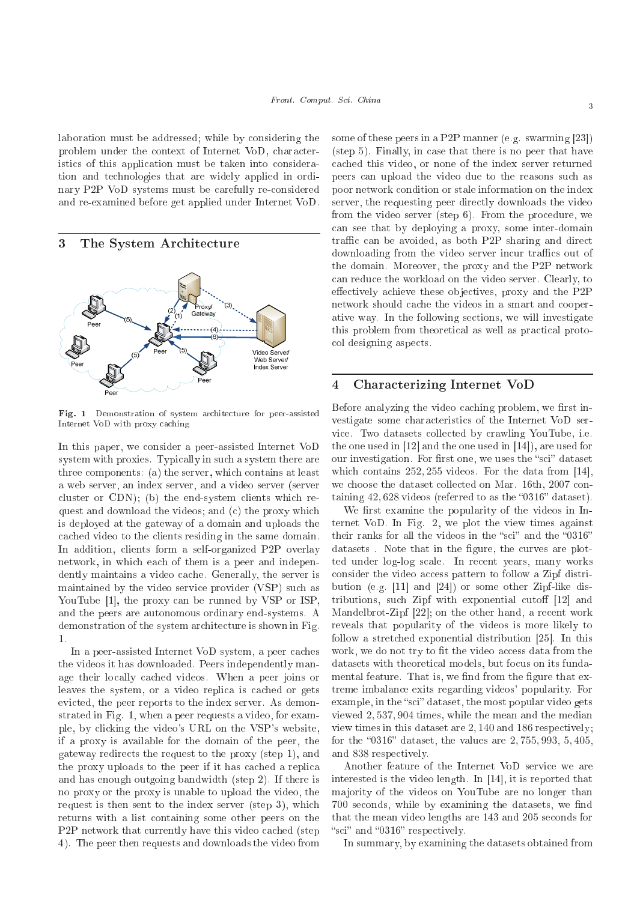laboration must be addressed; while by onsidering the problem under the ontext of Internet VoD, hara
teristics of this application must be taken into consideration and te
hnologies that are widely applied in ordinary P2P VoD systems must be arefully reonsidered and re-examined before get applied under Internet VoD.

#### 3 The System Architecture



Fig. <sup>1</sup> Demonstration of system ar
hite
ture for peer-assisted Internet VoD with proxy a
hing

In this paper, we consider a peer-assisted Internet VoD system with proxies. Typically in such a system there are three omponents: (a) the server, whi
h ontains at least a web server, an index server, and a video server (server cluster or  $CDN$ ; (b) the end-system clients which request and download the videos; and (c) the proxy which is deployed at the gateway of a domain and uploads the a
hed video to the lients residing in the same domain. In addition, clients form a self-organized P2P overlay network, in which each of them is a peer and independently maintains a video cache. Generally, the server is maintained by the video servi
e provider (VSP) su
h as YouTube [1], the proxy can be runned by VSP or ISP. and the peers are autonomous ordinary end-systems. A demonstration of the system architecture is shown in Fig.  $\mathbf{1}$ .

In a peer-assisted Internet VoD system, a peer caches the videos it has downloaded. Peers independently manage their locally cached videos. When a peer joins or leaves the system, or a video replica is cached or gets evicted, the peer reports to the index server. As demonstrated in Fig. 1, when a peer requests a video, for example, by li
king the video's URL on the VSP's website, if a proxy is available for the domain of the peer, the gateway redire
ts the request to the proxy (step 1), and the proxy uploads to the peer if it has cached a replica and has enough outgoing bandwidth (step 2). If there is no proxy or the proxy is unable to upload the video, the request is then sent to the index server (step 3), whi
h returns with a list ontaining some other peers on the P<sub>2</sub>P network that currently have this video cached (step 4). The peer then requests and downloads the video from

some of these peers in a P2P manner (e.g. swarming  $[23]$ ) (step 5). Finally, in ase that there is no peer that have a
hed this video, or none of the index server returned peers an upload the video due to the reasons su
h as poor network ondition or stale information on the index server, the requesting peer directly downloads the video from the video server (step 6). From the procedure, we an see that by deploying a proxy, some inter-domain traffic can be avoided, as both P2P sharing and direct downloading from the video server incur traffics out of the domain. Moreover, the proxy and the P2P network an redu
e the workload on the video server. Clearly, to effectively achieve these objectives, proxy and the P2P network should a
he the videos in a smart and ooperative way. In the following se
tions, we will investigate this problem from theoretical as well as practical protool designing aspe
ts.

# 4 Chara
terizing Internet VoD

Before analyzing the video caching problem, we first investigate some hara
teristi
s of the Internet VoD servi
e. Two datasets olle
ted by rawling YouTube, i.e. the one used in  $[12]$  and the one used in  $[14]$ , are used for our investigation. For first one, we uses the "sci" dataset which contains  $252, 255$  videos. For the data from [14], we choose the dataset collected on Mar. 16th, 2007 containing  $42,628$  videos (referred to as the "0316" dataset).

We first examine the popularity of the videos in Internet VoD. In Fig. 2, we plot the view times against their ranks for all the videos in the "sci" and the "0316" datasets. Note that in the figure, the curves are plotted under log-log scale. In recent years, many works consider the video access pattern to follow a Zipf distribution (e.g.  $[11]$  and  $[24]$ ) or some other Zipf-like distributions, such Zipf with exponential cutoff  $[12]$  and Mandelbrot-Zipf  $[22]$ ; on the other hand, a recent work reveals that popularity of the videos is more likely to follow a stretched exponential distribution [25]. In this work, we do not try to fit the video access data from the datasets with theoretical models, but focus on its fundamental feature. That is, we find from the figure that extreme imbalan
e exits regarding videos' popularity. For example, in the "sci" dataset, the most popular video gets viewed 2, 537, 904 times, while the mean and the median view times in this dataset are 2, 140 and 186 respectively; for the "0316" dataset, the values are  $2,755,993,5,405,$ and 838 respe
tively.

Another feature of the Internet VoD servi
e we are interested is the video length. In  $[14]$ , it is reported that ma jority of the videos on YouTube are no longer than 700 seconds, while by examining the datasets, we find that the mean video lengths are 143 and 205 se
onds for "sci" and "0316" respectively.

In summary, by examining the datasets obtained from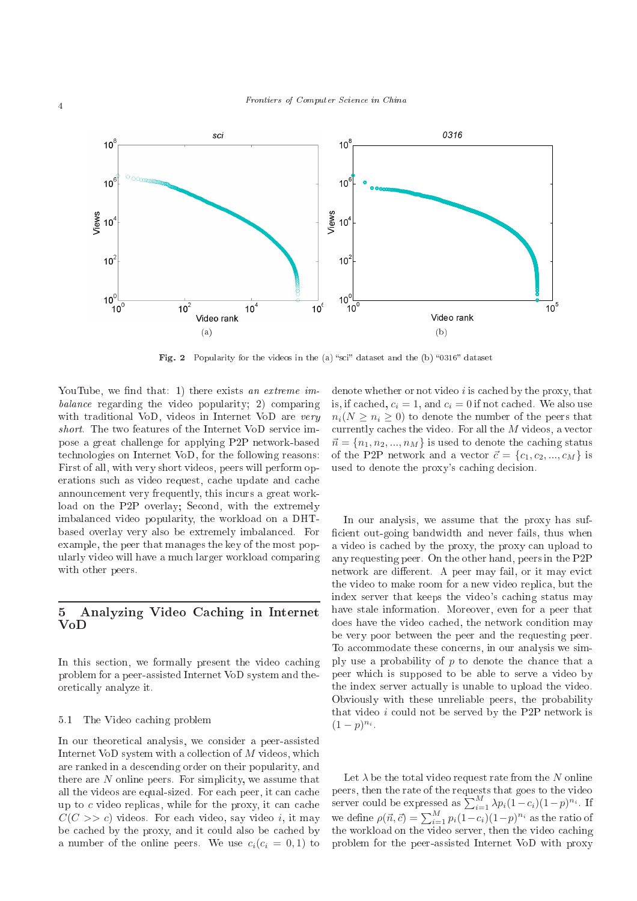

Fig. <sup>2</sup> Popularity for the videos in the (a) s
i dataset and the (b) 0316 dataset

YouTube, we find that: 1) there exists an extreme imbalan
e regarding the video popularity; 2) omparing with traditional VoD, videos in Internet VoD are very short. The two features of the Internet VoD service impose a great hallenge for applying P2P network-based te
hnologies on Internet VoD, for the following reasons: First of all, with very short videos, peers will perform operations such as video request, cache update and cache announ
ement very frequently, this in
urs a great workload on the P2P overlay; Second, with the extremely imbalan
ed video popularity, the workload on a DHTbased overlay very also be extremely imbalan
ed. For example, the peer that manages the key of the most popularly video will have a mu
h larger workload omparing with other peers.

# 5 Analyzing Video Ca
hing in Internet VoD

In this section, we formally present the video caching problem for a peer-assisted Internet VoD system and theoreti
ally analyze it.

#### 5.1 The Video caching problem

In our theoretical analysis, we consider a peer-assisted Internet VoD system with a collection of M videos, which are ranked in a des
ending order on their popularity, and there are  $N$  online peers. For simplicity, we assume that all the videos are equal-sized. For each peer, it can cache up to  $c$  video replicas, while for the proxy, it can cache  $C(C \gg c)$  videos. For each video, say video i, it may be cached by the proxy, and it could also be cached by a number of the online peers. We use  $c_i(c_i = 0, 1)$  to

denote whether or not video  $i$  is cached by the proxy, that is, if cached,  $c_i = 1$ , and  $c_i = 0$  if not cached. We also use  $n_i(N > n_i > 0)$  to denote the number of the peers that currently caches the video. For all the  $M$  videos, a vector  $\vec{n} = \{n_1, n_2, ..., n_M\}$  is used to denote the caching status of the P2P network and a vector  $\vec{c} = \{c_1, c_2, ..., c_M\}$  is used to denote the proxy's caching decision.

In our analysis, we assume that the proxy has suf ficient out-going bandwidth and never fails, thus when a video is cached by the proxy, the proxy can upload to any requesting peer. On the other hand, peers in the P2P network are different. A peer may fail, or it may evict the video to make room for a new video repli
a, but the index server that keeps the video's caching status may have stale information. Moreover, even for a peer that does have the video cached, the network condition may be very poor between the peer and the requesting peer. To accommodate these concerns, in our analysis we simply use a probability of  $p$  to denote the chance that a peer whi
h is supposed to be able to serve a video by the index server actually is unable to upload the video. Obviously with these unreliable peers, the probability that video  $i$  could not be served by the P2P network is  $(1-p)^{n_i}$ .

Let  $\lambda$  be the total video request rate from the N online server could be expressed as  $\sum_{i=1}^{M} \lambda p_i (1-c_i)(1-p)^{n_i}$ . If we define  $\rho(\vec{n}, \vec{c}) = \sum_{i=1}^{M} p_i(1-c_i)(1-p)^{n_i}$  as the ratio of the workload on the video server, then the video caching problem for the peer-assisted Internet VoD with proxy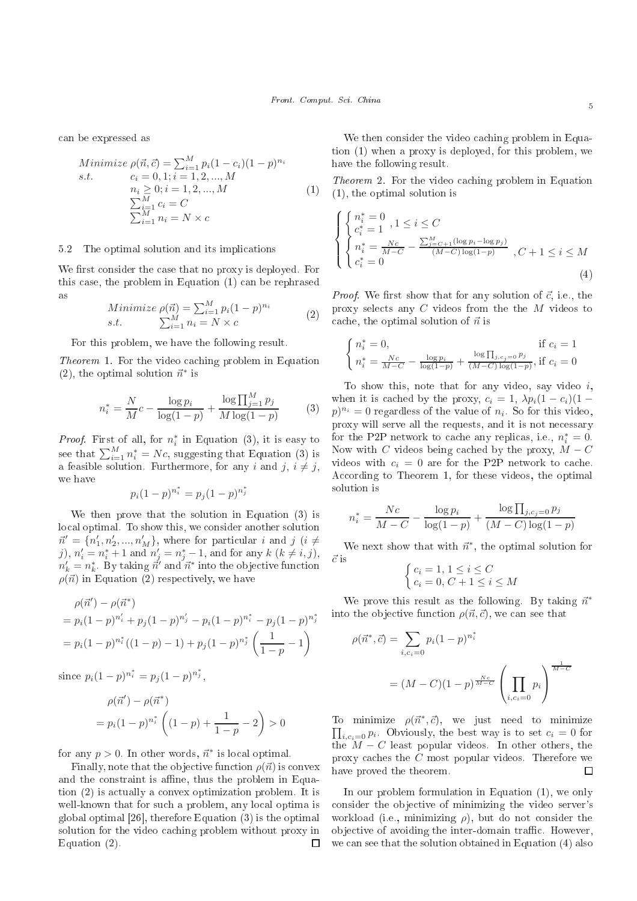an be expressed as

Minimize 
$$
\rho(\vec{n}, \vec{c}) = \sum_{i=1}^{M} p_i (1 - c_i)(1 - p)^{n_i}
$$
  
s.t.  $c_i = 0, 1; i = 1, 2, ..., M$   
 $n_i \ge 0; i = 1, 2, ..., M$   
 $\sum_{i=1}^{M} c_i = C$   
 $\sum_{i=1}^{M} n_i = N \times c$  (1)

# 5.2 The optimal solution and its impli
ations

We first consider the case that no proxy is deployed. For this ase, the problem in Equation (1) an be rephrased as

Minimize 
$$
\rho(\vec{n}) = \sum_{i=1}^{M} p_i (1-p)^{n_i}
$$
  
s.t. 
$$
\sum_{i=1}^{M} n_i = N \times c
$$
 (2)

For this problem, we have the following result.

The video and the video  $\mathcal{L}$  for the video and  $\mathcal{L}$  for the video and  $\mathcal{L}$ (2), the optimal solution  $\vec{n}^*$  is

$$
n_i^* = \frac{N}{M}c - \frac{\log p_i}{\log(1-p)} + \frac{\log \prod_{j=1}^{M} p_j}{M \log(1-p)}
$$
(3)

*Proof.* First of all, for  $n_i^*$  in Equation (3), it is easy to see that  $\sum_{i=1}^{M} n_i^* = Nc$ , suggesting that Equation (3) is a feasible solution. Furthermore, for any i and j,  $i \neq j$ , we have ∗ ∗

$$
p_i(1-p)^{n_i^*} = p_j(1-p)^{n_j^*}
$$

We then prove that the solution in Equation (3) is lo
al optimal. To show this, we onsider another solution  $\vec{n}' = \{n'_1, n'_2, ..., n'_M\}$ , where for particular i and j  $(i \neq$ j),  $n'_{i} = n_{i}^{*} + 1$  and  $n'_{j} = n_{j}^{*} - 1$ , and for any  $k \ (k \neq i, j)$ ,  $n'_k = n_k^*$ . By taking  $\vec{n}'$  and  $\vec{n}^*$  into the objective function  $\rho(\vec{n})$  in Equation (2) respectively, we have

$$
\rho(\vec{n}') - \rho(\vec{n}^*)
$$
  
=  $p_i(1-p)^{n'_i} + p_j(1-p)^{n'_j} - p_i(1-p)^{n_i^*} - p_j(1-p)^{n_j^*}$   
=  $p_i(1-p)^{n_i^*}((1-p) - 1) + p_j(1-p)^{n_j^*} \left(\frac{1}{1-p} - 1\right)$ 

since  $p_i(1-p)^{n_i^*} = p_j(1-p)^{n_j^*},$ 

$$
\rho(\vec{n}') - \rho(\vec{n}^*)
$$
  
=  $p_i(1-p)^{n_i^*} \left( (1-p) + \frac{1}{1-p} - 2 \right) > 0$ 

for any  $p > 0$ . In other words,  $\vec{n}^*$  is local optimal.

Finally, note that the objective function  $\rho(\vec{n})$  is convex and the constraint is affine, thus the problem in Equation (2) is a
tually a onvex optimization problem. It is well-known that for such a problem, any local optima is global optimal  $[26]$ , therefore Equation  $(3)$  is the optimal solution for the video caching problem without proxy in Equation (2).  $\Box$ 

We then consider the video caching problem in Equation (1) when a proxy is deployed, for this problem, we have the following result.

The video and video  $\mathcal{L}$  for the video and video and video and video and video and video and video and video and video and video and video and video and video and video and video and video and video and video and vide (1), the optimal solution is

$$
\begin{cases} \begin{cases} n_i^* = 0 \\ c_i^* = 1 \end{cases}, 1 \le i \le C\\ n_i^* = \frac{Nc}{M-C} - \frac{\sum_{j=C+1}^{M} (\log p_i - \log p_j)}{(M-C)\log(1-p)}, C+1 \le i \le M\\ c_i^* = 0 \end{cases}
$$
\n(4)

*Proof.* We first show that for any solution of  $\vec{c}$ , i.e., the proxy sele
ts any C videos from the the M videos to cache, the optimal solution of  $\vec{n}$  is

$$
\begin{cases} n_i^* = 0, & \text{if } c_i = 1\\ n_i^* = \frac{Nc}{M-C} - \frac{\log p_i}{\log(1-p)} + \frac{\log \prod_{j, c_j = 0} p_j}{(M-C) \log(1-p)}, & \text{if } c_i = 0 \end{cases}
$$

To show this, note that for any video, say video  $i$ , when it is cached by the proxy,  $c_i = 1$ ,  $\lambda p_i(1 - c_i)(1 (p)^{n_i} = 0$  regardless of the value of  $n_i$ . So for this video, proxy will serve all the requests, and it is not ne
essary for the P2P network to cache any replicas, i.e.,  $n_i^* = 0$ . Now with C videos being cached by the proxy,  $M - C$ videos with  $c_i = 0$  are for the P2P network to cache. According to Theorem 1, for these videos, the optimal solution is

$$
n_i^* = \frac{Nc}{M - C} - \frac{\log p_i}{\log(1 - p)} + \frac{\log \prod_{j, c_j = 0} p_j}{(M - C) \log(1 - p)}
$$

We next show that with  $\vec{n}^*$ , the optimal solution for  $\vec{c}$  is

$$
\begin{cases} c_i = 1, 1 \le i \le C \\ c_i = 0, C + 1 \le i \le M \end{cases}
$$

We prove this result as the following. By taking  $\vec{n}^*$ into the objective function  $\rho(\vec{n}, \vec{c})$ , we can see that

$$
\rho(\vec{n}^*, \vec{c}) = \sum_{i, c_i = 0} p_i (1 - p)^{n_i^*}
$$

$$
= (M - C)(1 - p)^{\frac{N_c}{M - C}} \left(\prod_{i, c_i = 0} p_i\right)^{\frac{1}{M - C}}
$$

To minimize  $\rho(\vec{n}^*, \vec{c})$ , we just need to minimize  $\prod_{i,c_i=0} p_i$ . Obviously, the best way is to set  $c_i = 0$  for the  $M - C$  least popular videos. In other others, the proxy caches the C most popular videos. Therefore we have proved the theorem.  $\Box$ 

In our problem formulation in Equation (1), we only consider the objective of minimizing the video server's workload (i.e., minimizing  $\rho$ ), but do not consider the objective of avoiding the inter-domain traffic. However, we can see that the solution obtained in Equation (4) also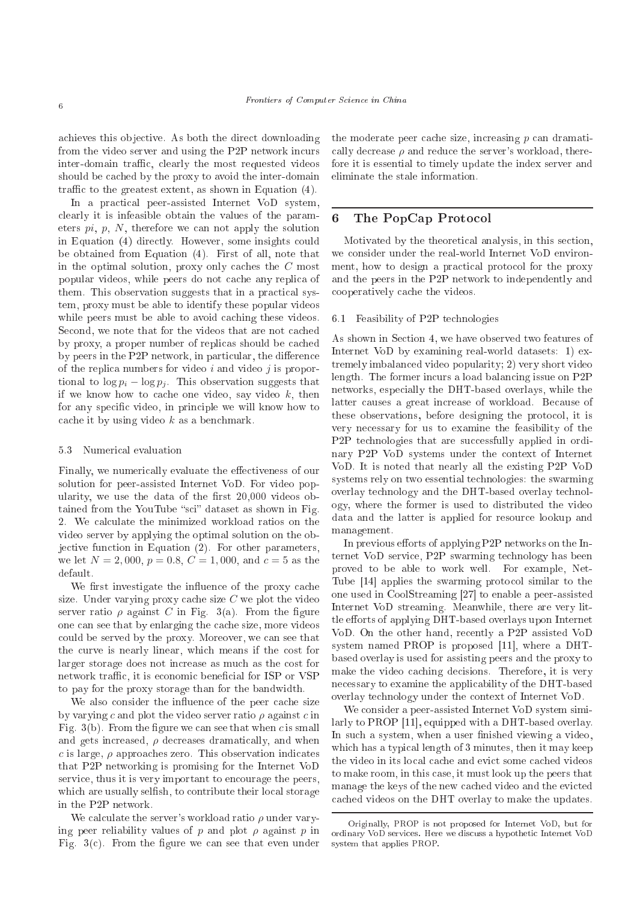achieves this objective. As both the direct downloading from the video server and using the P2P network in
urs inter-domain traffic, clearly the most requested videos should be cached by the proxy to avoid the inter-domain traffic to the greatest extent, as shown in Equation (4).

In a practical peer-assisted Internet VoD system, clearly it is infeasible obtain the values of the parameters  $pi$ ,  $p$ ,  $N$ , therefore we can not apply the solution in Equation (4) directly. However, some insights could be obtained from Equation (4). First of all, note that in the optimal solution, proxy only caches the  $C$  most popular videos, while peers do not cache any replica of them. This observation suggests that in a practical system, proxy must be able to identify these popular videos while peers must be able to avoid caching these videos. Second, we note that for the videos that are not cached by proxy, a proper number of repli
as should be a
hed by peers in the P2P network, in particular, the difference of the replica numbers for video  $i$  and video  $j$  is proportional to  $\log p_i - \log p_i$ . This observation suggests that if we know how to cache one video, say video  $k$ , then for any specific video, in principle we will know how to cache it by using video  $k$  as a benchmark.

## 5.3 Numeri
al evaluation

Finally, we numerically evaluate the effectiveness of our solution for peer-assisted Internet VoD. For video popularity, we use the data of the first  $20,000$  videos obtained from the YouTube "sci" dataset as shown in Fig. 2. We calculate the minimized workload ratios on the video server by applying the optimal solution on the objective function in Equation (2). For other parameters, we let  $N = 2,000, p = 0.8, C = 1,000, \text{ and } c = 5 \text{ as the}$ default.

We first investigate the influence of the proxy cache size. Under varying proxy cache size  $C$  we plot the video server ratio  $\rho$  against C in Fig. 3(a). From the figure one can see that by enlarging the cache size, more videos could be served by the proxy. Moreover, we can see that the curve is nearly linear, which means if the cost for larger storage does not increase as much as the cost for network traffic, it is economic beneficial for ISP or VSP to pay for the proxy storage than for the bandwidth.

We also consider the influence of the peer cache size by varying c and plot the video server ratio  $\rho$  against c in Fig.  $3(b)$ . From the figure we can see that when c is small and gets increased,  $\rho$  decreases dramatically, and when c is large,  $\rho$  approaches zero. This observation indicates that P2P networking is promising for the Internet VoD service, thus it is very important to encourage the peers, which are usually selfish, to contribute their local storage in the P2P network.

We calculate the server's workload ratio  $\rho$  under varying peer reliability values of p and plot  $\rho$  against p in Fig.  $3(c)$ . From the figure we can see that even under the moderate peer cache size, increasing  $p$  can dramatically decrease  $\rho$  and reduce the server's workload, therefore it is essential to timely update the index server and eliminate the stale information.

#### The PopCap Protocol 6

Motivated by the theoreti
al analysis, in this se
tion, we consider under the real-world Internet VoD environment, how to design a practical protocol for the proxy and the peers in the P2P network to independently and ooperatively a
he the videos.

#### 6.1 Feasibility of P2P te
hnologies

As shown in Section 4, we have observed two features of Internet VoD by examining real-world datasets: 1) extremely imbalan
ed video popularity; 2) very short video length. The former incurs a load balancing issue on P2P networks, espe
ially the DHT-based overlays, while the latter causes a great increase of workload. Because of these observations, before designing the proto
ol, it is very ne
essary for us to examine the feasibility of the P<sub>2P</sub> technologies that are successfully applied in ordinary P2P VoD systems under the ontext of Internet VoD. It is noted that nearly all the existing P2P VoD systems rely on two essential te
hnologies: the swarming overlay te
hnology and the DHT-based overlay te
hnology, where the former is used to distributed the video data and the latter is applied for resour
e lookup and management.

In previous efforts of applying P2P networks on the Internet VoD servi
e, P2P swarming te
hnology has been proved to be able to work well. For example, Net-Tube [14] applies the swarming protocol similar to the one used in CoolStreaming [27] to enable a peer-assisted Internet VoD streaming. Meanwhile, there are very little efforts of applying DHT-based overlays upon Internet VoD. On the other hand, re
ently a P2P assisted VoD system named PROP is proposed  $[11]$ , where a DHTbased overlay is used for assisting peers and the proxy to make the video caching decisions. Therefore, it is very ne
essary to examine the appli
ability of the DHT-based overlay te
hnology under the ontext of Internet VoD.

We consider a peer-assisted Internet VoD system similarly to PROP  $[11]$ , equipped with a DHT-based overlay. In such a system, when a user finished viewing a video, which has a typical length of 3 minutes, then it may keep the video in its local cache and evict some cached videos to make room, in this ase, it must look up the peers that manage the keys of the new cached video and the evicted a
hed videos on the DHT overlay to make the updates.

Originally, PROP is not proposed for Internet VoD, but for es. Here we discussed the service were well been produced the service of the service of the service of the service of the service of the service of the service of the service of the service of the service of the service of system that applies PROP.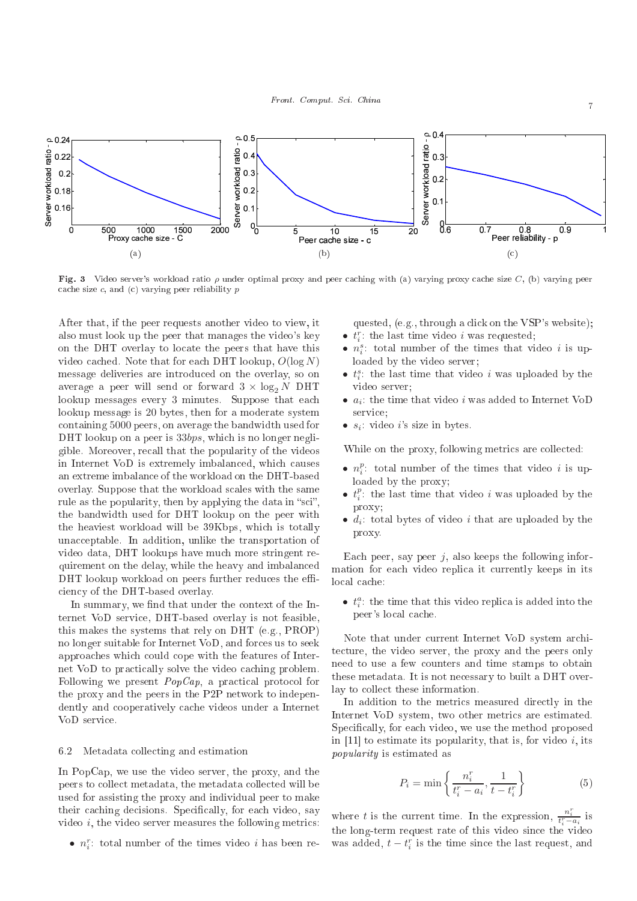

Fig. 3 Video server's workload ratio  $\rho$  under optimal proxy and peer caching with (a) varying proxy cache size  $C$ , (b) varying peer cache size  $c$ , and  $(c)$  varying peer reliability  $p$ 

After that, if the peer requests another video to view, it also must look up the peer that manages the video's key on the DHT overlay to lo
ate the peers that have this video cached. Note that for each DHT lookup,  $O(\log N)$ message deliveries are introdu
ed on the overlay, so on average a peer will send or forward  $3 \times \log_2 N$  DHT lookup messages every 3 minutes. Suppose that ea
h lookup message is 20 bytes, then for a moderate system ontaining 5000 peers, on average the bandwidth used for DHT lookup on a peer is 33bps, which is no longer negligible. Moreover, re
all that the popularity of the videos in Internet VoD is extremely imbalan
ed, whi
h auses an extreme imbalan
e of the workload on the DHT-based overlay. Suppose that the workload s
ales with the same rule as the popularity, then by applying the data in "sci", the bandwidth used for DHT lookup on the peer with the heaviest workload will be 39Kbps, whi
h is totally unacceptable. In addition, unlike the transportation of video data, DHT lookups have mu
h more stringent requirement on the delay, while the heavy and imbalan
ed DHT lookup workload on peers further reduces the efficiency of the DHT-based overlay.

In summary, we find that under the context of the Internet VoD servi
e, DHT-based overlay is not feasible, this makes the systems that rely on DHT (e.g., PROP) no longer suitable for Internet VoD, and for
es us to seek approaches which could cope with the features of Internet VoD to practically solve the video caching problem. Following we present  $PopCap$ , a practical protocol for the proxy and the peers in the P2P network to independently and cooperatively cache videos under a Internet VoD servi
e.

## 6.2 Metadata olle
ting and estimation

In PopCap, we use the video server, the proxy, and the peers to collect metadata, the metadata collected will be used for assisting the proxy and individual peer to make their caching decisions. Specifically, for each video, say video  $i$ , the video server measures the following metrics:

•  $n_i^r$ : total number of the times video *i* has been re-

quested, (e.g., through a click on the VSP's website);

- $t_i^r$ : the last time video i was requested;
- $n_i^s$ : total number of the times that video *i* is uploaded by the video server;
- $t_i^s$ : the last time that video i was uploaded by the video server;
- $a_i$ : the time that video i was added to Internet VoD service:
- $s_i$ : video *i*'s size in bytes.

While on the proxy, following metrics are collected:

- $n_i^p$ : total number of the times that video *i* is uploaded by the proxy;
- $t_i^p$ : the last time that video i was uploaded by the proxy;
- $d_i$ : total bytes of video i that are uploaded by the proxy.

Each peer, say peer  $j$ , also keeps the following information for ea
h video repli
a it urrently keeps in its local cache:

•  $t_i^a$ : the time that this video replica is added into the peer's local cache.

Note that under current Internet VoD system architecture, the video server, the proxy and the peers only need to use a few ounters and time stamps to obtain these metadata. It is not ne
essary to built a DHT overlay to collect these information.

In addition to the metrics measured directly in the Internet VoD system, two other metri
s are estimated. Specifically, for each video, we use the method proposed in [11] to estimate its popularity, that is, for video i, its popularity is estimated as

$$
P_i = \min\left\{\frac{n_i^r}{t_i^r - a_i}, \frac{1}{t - t_i^r}\right\} \tag{5}
$$

where t is the current time. In the expression,  $\frac{n_i^r}{t_i^r - a_i}$  is the long-term request rate of this video sin
e the video was added,  $t - t_i^r$  is the time since the last request, and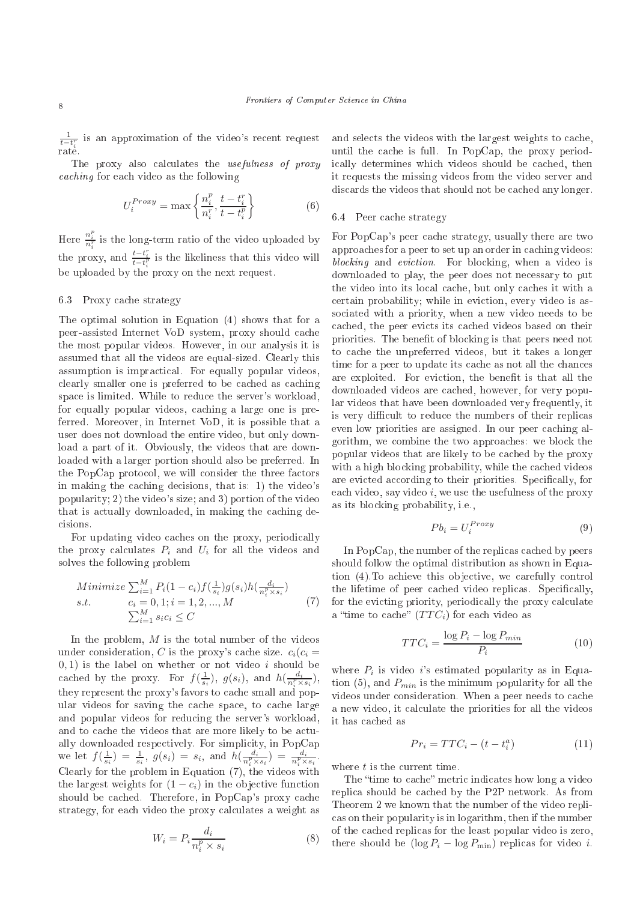$\frac{1}{t-t_i^r}$  is an approximation of the video's recent request rate.

The proxy also calculates the *usefulness of proxy* and for each contract the following the following the following the following the following the following the state of the following the state of the following the state of the state of the state of the state of the state

$$
U_i^{Proxy} = \max\left\{\frac{n_i^p}{n_i^r}, \frac{t - t_i^r}{t - t_i^p}\right\} \tag{6}
$$

Here  $\frac{n_i^p}{n_i^r}$  is the long-term ratio of the video uploaded by the proxy, and  $\frac{t-t_i^r}{t-t_i^p}$  is the likeliness that this video will be uploaded by the proxy on the next request.

### 6.3 Proxy cache strategy

The optimal solution in Equation (4) shows that for a peer-assisted Internet VoD system, proxy should a
he the most popular videos. However, in our analysis it is assumed that all the videos are equal-sized. Clearly this assumption is impractical. For equally popular videos, clearly smaller one is preferred to be cached as caching spa
e is limited. While to redu
e the server's workload, for equally popular videos, caching a large one is preferred. Moreover, in Internet VoD, it is possible that a user does not download the entire video, but only download a part of it. Obviously, the videos that are downloaded with a larger portion should also be preferred. In the PopCap protocol, we will consider the three factors in making the caching decisions, that is: 1) the video's popularity; 2) the video's size; and 3) portion of the video that is actually downloaded, in making the caching decisions.

For updating video caches on the proxy, periodically the proxy calculates  $P_i$  and  $U_i$  for all the videos and solves the following problem

Minimize 
$$
\sum_{i=1}^{M} P_i (1 - c_i) f(\frac{1}{s_i}) g(s_i) h(\frac{d_i}{n_i^p \times s_i})
$$
  
s.t.  $c_i = 0, 1; i = 1, 2, ..., M$   
 $\sum_{i=1}^{M} s_i c_i \le C$  (7)

In the problem,  $M$  is the total number of the videos under consideration, C is the proxy's cache size.  $c_i(c_i)$  $(0, 1)$  is the label on whether or not video i should be cached by the proxy. For  $f(\frac{1}{s_i}), g(s_i),$  and  $h(\frac{d_i}{n_i^p \times s_i}),$ they represent the proxy's favors to cache small and popular videos for saving the cache space, to cache large and popular videos for redu
ing the server's workload, and to cache the videos that are more likely to be actually downloaded respectively. For simplicity, in PopCap we let  $f(\frac{1}{s_i}) = \frac{1}{s_i}, g(s_i) = s_i, \text{ and } h(\frac{d_i}{n_i^p \times s_i}) = \frac{d_i}{n_i^p \times s_i}.$ Clearly for the problem in Equation  $(7)$ , the videos with the largest weights for  $(1 - c_i)$  in the objective function should be cached. Therefore, in PopCap's proxy cache strategy, for each video the proxy calculates a weight as

$$
W_i = P_i \frac{d_i}{n_i^p \times s_i} \tag{8}
$$

and selects the videos with the largest weights to cache, until the cache is full. In PopCap, the proxy periodi
ally determines whi
h videos should be a
hed, then it requests the missing videos from the video server and discards the videos that should not be cached any longer.

#### 6.4 Peer cache strategy

For PopCap's peer cache strategy, usually there are two approa
hes for a peer to set up an order in a
hing videos: blo
king and evi
tion. For blo
king, when a video is downloaded to play, the peer does not ne
essary to put the video into its local cache, but only caches it with a ertain probability; while in evi
tion, every video is asso
iated with a priority, when a new video needs to be cached, the peer evicts its cached videos based on their priorities. The benefit of blocking is that peers need not to a
he the unpreferred videos, but it takes a longer time for a peer to update its cache as not all the chances are exploited. For eviction, the benefit is that all the downloaded videos are a
hed, however, for very popular videos that have been downloaded very frequently, it is very difficult to reduce the numbers of their replicas even low priorities are assigned. In our peer caching algorithm, we ombine the two approa
hes: we blo
k the popular videos that are likely to be a
hed by the proxy with a high blocking probability, while the cached videos are evicted according to their priorities. Specifically, for each video, say video *i*, we use the usefulness of the proxy as its blo
king probability, i.e.,

$$
Pb_i = U_i^{Proxy} \tag{9}
$$

In PopCap, the number of the replicas cached by peers should follow the optimal distribution as shown in Equation (4). To achieve this objective, we carefully control the lifetime of peer cached video replicas. Specifically, for the evicting priority, periodically the proxy calculate a "time to cache"  $(TTC_i)$  for each video as

$$
TTC_i = \frac{\log P_i - \log P_{min}}{P_i} \tag{10}
$$

where  $P_i$  is video *i*'s estimated popularity as in Equation (5), and  $P_{min}$  is the minimum popularity for all the videos under consideration. When a peer needs to cache a new video, it calculate the priorities for all the videos it has a
hed as

$$
Pr_i = TTC_i - (t - t_i^a)
$$
\n<sup>(11)</sup>

where  $t$  is the current time.

The "time to cache" metric indicates how long a video repli
a should be a
hed by the P2P network. As from Theorem 2 we known that the number of the video repli as on their popularity is in logarithm, then if the number of the a
hed repli
as for the least popular video is zero, there should be  $(\log P_i - \log P_{\min})$  replicas for video *i*.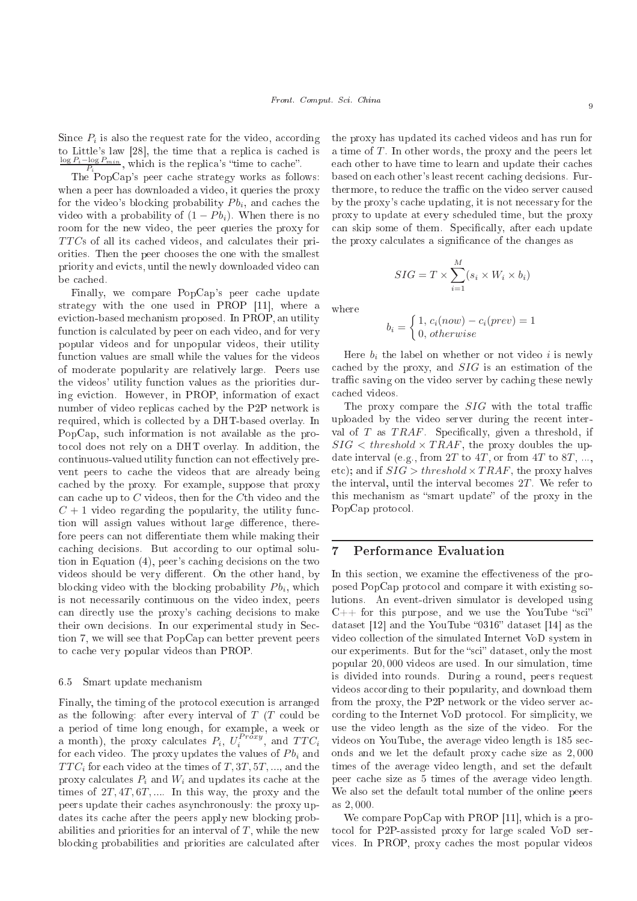Since  $P_i$  is also the request rate for the video, according to Little's law  $[28]$ , the time that a replica is cached is  $\frac{\log P_i - \log P_{min}}{P_i}$ , which is the replica's "time to cache".

The PopCap's peer cache strategy works as follows: when a peer has downloaded a video, it queries the proxy for the video's blocking probability  $Pb_i$ , and caches the video with a probability of  $(1 - Pb_i)$ . When there is no room for the new video, the peer queries the proxy for  $TTCs$  of all its cached videos, and calculates their priorities. Then the peer hooses the one with the smallest priority and evicts, until the newly downloaded video can be cached.

Finally, we compare PopCap's peer cache update strategy with the one used in PROP  $[11]$ , where a evi
tion-based me
hanism proposed. In PROP, an utility function is calculated by peer on each video, and for very popular videos and for unpopular videos, their utility fun
tion values are small while the values for the videos of moderate popularity are relatively large. Peers use the videos' utility fun
tion values as the priorities during evi
tion. However, in PROP, information of exa
t number of video replicas cached by the P2P network is required, which is collected by a DHT-based overlay. In PopCap, su
h information is not available as the proto
ol does not rely on a DHT overlay. In addition, the continuous-valued utility function can not effectively prevent peers to cache the videos that are already being a
hed by the proxy. For example, suppose that proxy can cache up to  $C$  videos, then for the  $C$ th video and the  $C + 1$  video regarding the popularity, the utility function will assign values without large difference, therefore peers can not differentiate them while making their caching decisions. But according to our optimal solution in Equation (4), peer's caching decisions on the two videos should be very different. On the other hand, by blocking video with the blocking probability  $P_{i}$ , which is not ne
essarily ontinuous on the video index, peers an dire
tly use the proxy's a
hing de
isions to make their own decisions. In our experimental study in Section 7, we will see that PopCap can better prevent peers to cache very popular videos than PROP.

#### 6.5 Smart update me
hanism

Finally, the timing of the protocol execution is arranged as the following: after every interval of  $T(T)$  could be a period of time long enough, for example, a week or a month), the proxy calculates  $P_i$ ,  $U_i^{Proxy}$ , and  $TTC_i$ for each video. The proxy updates the values of  $P_{i}$  and  $TTC_i$  for each video at the times of  $T, 3T, 5T, \dots$ , and the proxy calculates  $P_i$  and  $W_i$  and updates its cache at the times of  $2T, 4T, 6T, \dots$  In this way, the proxy and the peers update their caches asynchronously: the proxy updates its cache after the peers apply new blocking probabilities and priorities for an interval of  $T$ , while the new blocking probabilities and priorities are calculated after

the proxy has updated its a
hed videos and has run for a time of  $T$ . In other words, the proxy and the peers let each other to have time to learn and update their caches based on each other's least recent caching decisions. Furthermore, to reduce the traffic on the video server caused by the proxy's a
he updating, it is not ne
essary for the proxy to update at every s
heduled time, but the proxy can skip some of them. Specifically, after each update the proxy calculates a significance of the changes as

$$
SIG = T \times \sum_{i=1}^{M} (s_i \times W_i \times b_i)
$$

where

$$
b_i = \begin{cases} 1, c_i(now) - c_i(prev) = 1 \\ 0, otherwise \end{cases}
$$

Here  $b_i$  the label on whether or not video i is newly a
hed by the proxy, and SIG is an estimation of the traffic saving on the video server by caching these newly a
hed videos.

The proxy compare the  $SIG$  with the total traffic uploaded by the video server during the recent interval of T as  $TRAF$ . Specifically, given a threshold, if  $SIG < threshold \times TRAF$ , the proxy doubles the update interval (e.g., from  $2T$  to  $4T$ , or from  $4T$  to  $8T$ , ..., etc); and if  $SIG > threshold \times TRAF$ , the proxy halves the interval, until the interval be
omes 2T . We refer to this mechanism as "smart update" of the proxy in the PopCap protocol.

## 7 Performan
e Evaluation

In this section, we examine the effectiveness of the proposed PopCap proto
ol and ompare it with existing solutions. An event-driven simulator is developed using  $C++$  for this purpose, and we use the YouTube "sci" dataset  $[12]$  and the YouTube "0316" dataset  $[14]$  as the video olle
tion of the simulated Internet VoD system in our experiments. But for the "sci" dataset, only the most popular 20, 000 videos are used. In our simulation, time is divided into rounds. During a round, peers request videos according to their popularity, and download them from the proxy, the P2P network or the video server according to the Internet VoD protocol. For simplicity, we use the video length as the size of the video. For the videos on YouTube, the average video length is 185 se
 onds and we let the default proxy cache size as  $2,000$ times of the average video length, and set the default peer cache size as 5 times of the average video length. We also set the default total number of the online peers as 2, 000.

We compare PopCap with PROP [11], which is a proto
ol for P2P-assisted proxy for large s
aled VoD services. In PROP, proxy caches the most popular videos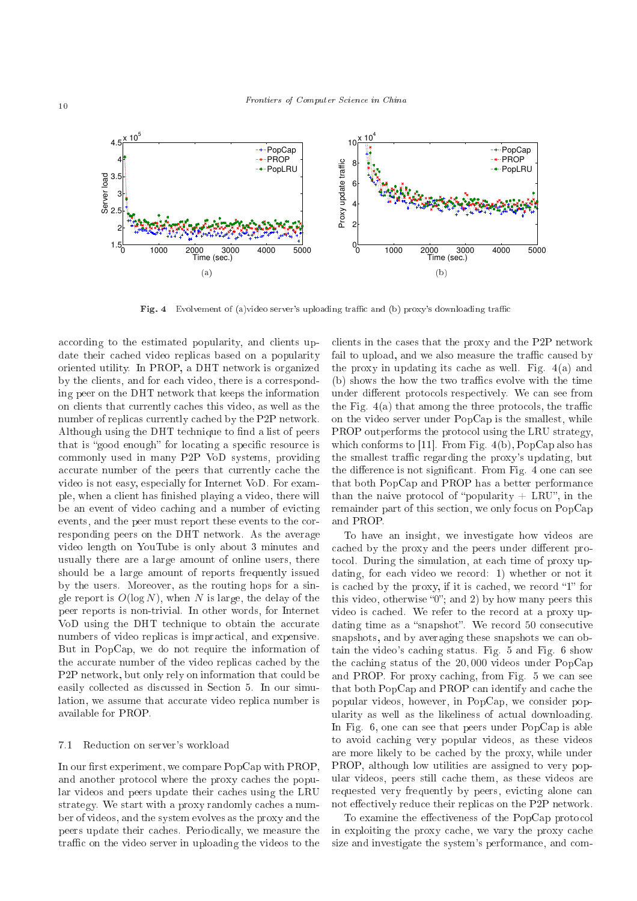

Fig. 4 Evolvement of (a)video server's uploading traffic and (b) proxy's downloading traffic

according to the estimated popularity, and clients update their cached video replicas based on a popularity oriented utility. In PROP, a DHT network is organized by the clients, and for each video, there is a corresponding peer on the DHT network that keeps the information on lients that urrently a
hes this video, as well as the number of replicas currently cached by the P2P network. Although using the DHT technique to find a list of peers that is "good enough" for locating a specific resource is ommonly used in many P2P VoD systems, providing accurate number of the peers that currently cache the video is not easy, espe
ially for Internet VoD. For example, when a client has finished playing a video, there will be an event of video caching and a number of evicting events, and the peer must report these events to the corresponding peers on the DHT network. As the average video length on YouTube is only about 3 minutes and usually there are a large amount of online users, there should be a large amount of reports frequently issued by the users. Moreover, as the routing hops for a single report is  $O(\log N)$ , when N is large, the delay of the peer reports is non-trivial. In other words, for Internet VoD using the DHT technique to obtain the accurate numbers of video replicas is impractical, and expensive. But in PopCap, we do not require the information of the accurate number of the video replicas cached by the P2P network, but only rely on information that could be easily collected as discussed in Section 5. In our simulation, we assume that accurate video replica number is available for PROP.

#### 7.1 Redu
tion on server's workload

In our first experiment, we compare PopCap with PROP, and another protocol where the proxy caches the popular videos and peers update their caches using the LRU strategy. We start with a proxy randomly caches a number of videos, and the system evolves as the proxy and the peers update their a
hes. Periodi
ally, we measure the traffic on the video server in uploading the videos to the

clients in the cases that the proxy and the P2P network fail to upload, and we also measure the traffic caused by the proxy in updating its cache as well. Fig.  $4(a)$  and (b) shows the how the two traffics evolve with the time under different protocols respectively. We can see from the Fig.  $4(a)$  that among the three protocols, the traffic on the video server under PopCap is the smallest, while PROP outperforms the proto
ol using the LRU strategy, which conforms to [11]. From Fig. 4(b), PopCap also has the smallest traffic regarding the proxy's updating, but the difference is not significant. From Fig. 4 one can see that both PopCap and PROP has a better performan
e than the naive protocol of "popularity  $+$  LRU", in the remainder part of this section, we only focus on PopCap and PROP.

To have an insight, we investigate how videos are cached by the proxy and the peers under different protocol. During the simulation, at each time of proxy updating, for each video we record: 1) whether or not it is cached by the proxy, if it is cached, we record " $1$ " for this video, otherwise " $0$ "; and 2) by how many peers this video is cached. We refer to the record at a proxy updating time as a "snapshot". We record 50 consecutive snapshots, and by averaging these snapshots we can obtain the video's caching status. Fig. 5 and Fig. 6 show the a
hing status of the 20, 000 videos under PopCap and PROP. For proxy caching, from Fig. 5 we can see that both PopCap and PROP can identify and cache the popular videos, however, in PopCap, we consider popularity as well as the likeliness of actual downloading. In Fig. 6, one can see that peers under PopCap is able to avoid a
hing very popular videos, as these videos are more likely to be a
hed by the proxy, while under PROP, although low utilities are assigned to very popular videos, peers still cache them, as these videos are requested very frequently by peers, evicting alone can not effectively reduce their replicas on the P2P network.

To examine the effectiveness of the PopCap protocol in exploiting the proxy cache, we vary the proxy cache size and investigate the system's performan
e, and om-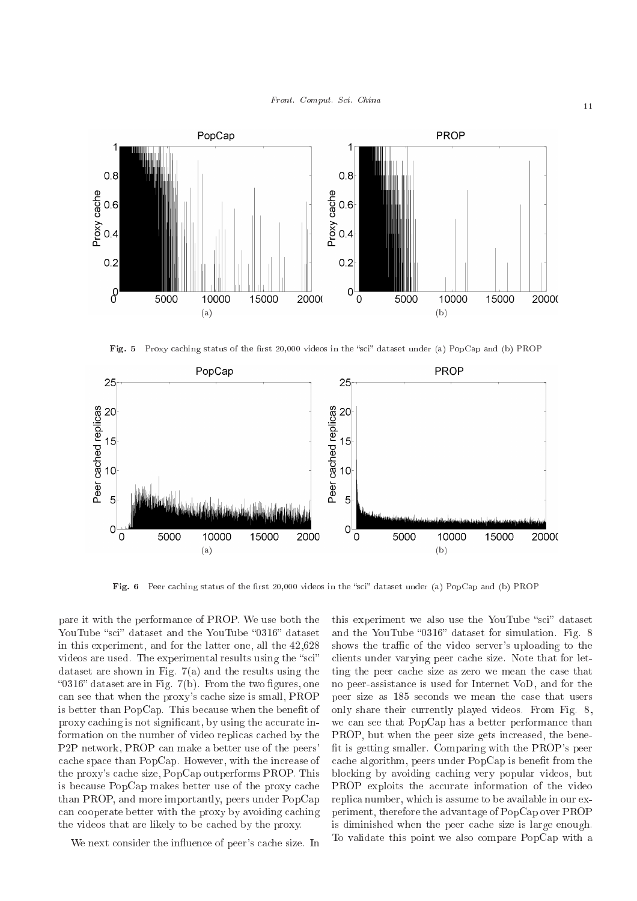

Fig. 5 Proxy caching status of the first 20,000 videos in the "sci" dataset under (a) PopCap and (b) PROP



Fig. <sup>6</sup> Peer a
hing status of the rst 20,000 videos in the s
i dataset under (a) PopCap and (b) PROP

pare it with the performan
e of PROP. We use both the YouTube "sci" dataset and the YouTube "0316" dataset in this experiment, and for the latter one, all the 42,628 videos are used. The experimental results using the "sci" dataset are shown in Fig. 7(a) and the results using the "0316" dataset are in Fig.  $7(b)$ . From the two figures, one can see that when the proxy's cache size is small, PROP is better than PopCap. This because when the benefit of proxy caching is not significant, by using the accurate information on the number of video replicas cached by the P2P network, PROP an make a better use of the peers' cache space than PopCap. However, with the increase of the proxy's cache size, PopCap outperforms PROP. This is because PopCap makes better use of the proxy cache than PROP, and more importantly, peers under PopCap can cooperate better with the proxy by avoiding caching the videos that are likely to be cached by the proxy.

We next consider the influence of peer's cache size. In

this experiment we also use the YouTube "sci" dataset and the YouTube "0316" dataset for simulation. Fig. 8 shows the traffic of the video server's uploading to the clients under varying peer cache size. Note that for letting the peer cache size as zero we mean the case that no peer-assistan
e is used for Internet VoD, and for the peer size as 185 se
onds we mean the ase that users only share their urrently played videos. From Fig. 8, we can see that PopCap has a better performance than PROP, but when the peer size gets increased, the benefit is getting smaller. Comparing with the PROP's peer cache algorithm, peers under PopCap is benefit from the blo
king by avoiding a
hing very popular videos, but PROP exploits the accurate information of the video repli
a number, whi
h is assume to be available in our experiment, therefore the advantage of PopCap over PROP is diminished when the peer cache size is large enough. To validate this point we also ompare PopCap with a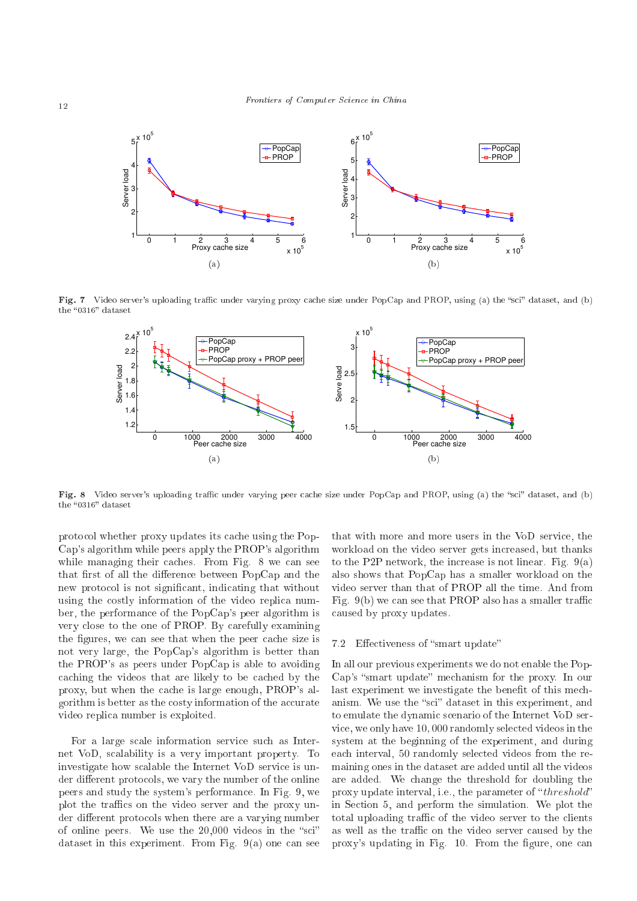

**Fig. 7** Video server's uploading traffic under varying proxy cache size under PopCap and PROP, using (a) the "sci" dataset, and (b)



Fig. 8 Video server's uploading traffic under varying peer cache size under PopCap and PROP, using (a) the "sci" dataset, and (b)

protocol whether proxy updates its cache using the Pop-Cap's algorithm while peers apply the PROP's algorithm while managing their caches. From Fig. 8 we can see that first of all the difference between PopCap and the new protocol is not significant, indicating that without using the costly information of the video replica number, the performan
e of the PopCap's peer algorithm is very lose to the one of PROP. By arefully examining the figures, we can see that when the peer cache size is not very large, the PopCap's algorithm is better than the PROP's as peers under PopCap is able to avoiding caching the videos that are likely to be cached by the proxy, but when the a
he is large enough, PROP's algorithm is better as the costy information of the accurate video repli
a number is exploited.

For a large scale information service such as Internet VoD, s
alability is a very important property. To investigate how s
alable the Internet VoD servi
e is under different protocols, we vary the number of the online peers and study the system's performan
e. In Fig. 9, we plot the traffics on the video server and the proxy under different protocols when there are a varying number of online peers. We use the  $20,000$  videos in the "sci" dataset in this experiment. From Fig.  $9(a)$  one can see that with more and more users in the VoD servi
e, the workload on the video server gets increased, but thanks to the P2P network, the increase is not linear. Fig.  $9(a)$ also shows that PopCap has a smaller workload on the video server than that of PROP all the time. And from Fig.  $9(b)$  we can see that PROP also has a smaller traffic aused by proxy updates.

#### 7.2 Effectiveness of "smart update"

In all our previous experiments we do not enable the Pop-Cap's "smart update" mechanism for the proxy. In our last experiment we investigate the benefit of this mechanism. We use the "sci" dataset in this experiment, and to emulate the dynamic scenario of the Internet VoD servi
e, we only have 10, 000 randomly sele
ted videos in the system at the beginning of the experiment, and during ea
h interval, 50 randomly sele
ted videos from the remaining ones in the dataset are added until all the videos are added. We hange the threshold for doubling the proxy update interval, i.e., the parameter of " $threshold"$ in Se
tion 5, and perform the simulation. We plot the total uploading traffic of the video server to the clients as well as the traffic on the video server caused by the proxy's updating in Fig. 10. From the figure, one can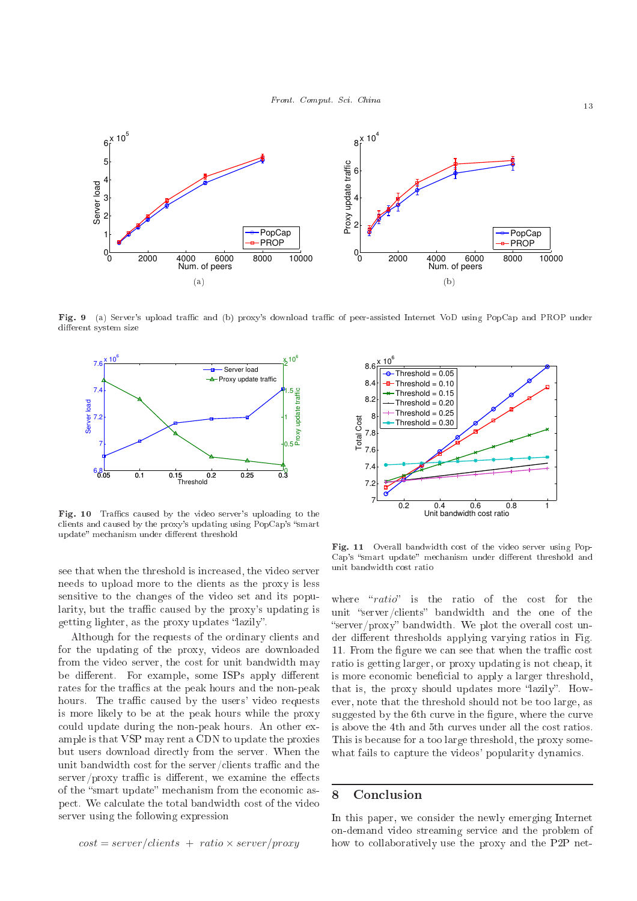

**Fig. 9** (a) Server's upload traffic and (b) proxy's download traffic of peer-assisted Internet VoD using PopCap and PROP under die en system sy stem system



**Fig. 10** Traffics caused by the video server's uploading to the clients and caused by the proxy's updating using PopCap's "smart" up met en die handels die met die met die handels van die handels die handels

see that when the threshold is increased, the video server needs to upload more to the lients as the proxy is less sensitive to the hanges of the video set and its popularity, but the traffic caused by the proxy's updating is getting lighter, as the proxy updates "lazily".

Although for the requests of the ordinary lients and for the updating of the proxy, videos are downloaded from the video server, the cost for unit bandwidth may be different. For example, some ISPs apply different rates for the traffics at the peak hours and the non-peak hours. The traffic caused by the users' video requests is more likely to be at the peak hours while the proxy could update during the non-peak hours. An other example is that VSP may rent a CDN to update the proxies but users download dire
tly from the server. When the unit bandwidth cost for the server/clients traffic and the  $s$ erver/proxy traffic is different, we examine the effects of the "smart update" mechanism from the economic aspe
t. We al
ulate the total bandwidth ost of the video server using the following expression



Fig. <sup>11</sup> Overall bandwidth ost of the video server using Pop-Cap's "smart update" mechanism under different threshold and

where " $ratio$ " is the ratio of the cost for the unit "server/clients" bandwidth and the one of the "server/proxy" bandwidth. We plot the overall cost under different thresholds applying varying ratios in Fig. 11. From the figure we can see that when the traffic cost ratio is getting larger, or proxy updating is not heap, it is more economic beneficial to apply a larger threshold, that is, the proxy should updates more "lazily". However, note that the threshold should not be too large, as suggested by the 6th curve in the figure, where the curve is above the 4th and 5th urves under all the ost ratios. This is be
ause for a too large threshold, the proxy somewhat fails to capture the videos' popularity dynamics.

#### 8 **Conclusion**

In this paper, we onsider the newly emerging Internet on-demand video streaming servi
e and the problem of how to collaboratively use the proxy and the P2P net-